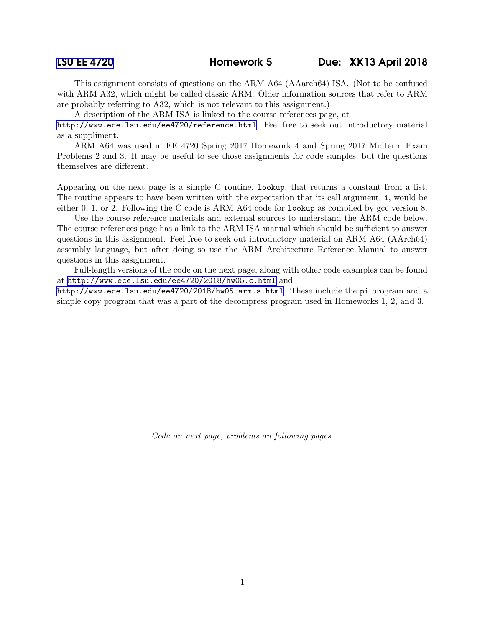This assignment consists of questions on the ARM A64 (AAarch64) ISA. (Not to be confused with ARM A32, which might be called classic ARM. Older information sources that refer to ARM are probably referring to A32, which is not relevant to this assignment.)

A description of the ARM ISA is linked to the course references page, at

<http://www.ece.lsu.edu/ee4720/reference.html>. Feel free to seek out introductory material as a suppliment.

ARM A64 was used in EE 4720 Spring 2017 Homework 4 and Spring 2017 Midterm Exam Problems 2 and 3. It may be useful to see those assignments for code samples, but the questions themselves are different.

Appearing on the next page is a simple C routine, lookup, that returns a constant from a list. The routine appears to have been written with the expectation that its call argument, i, would be either 0, 1, or 2. Following the C code is ARM A64 code for lookup as compiled by gcc version 8.

Use the course reference materials and external sources to understand the ARM code below. The course references page has a link to the ARM ISA manual which should be sufficient to answer questions in this assignment. Feel free to seek out introductory material on ARM A64 (AArch64) assembly language, but after doing so use the ARM Architecture Reference Manual to answer questions in this assignment.

Full-length versions of the code on the next page, along with other code examples can be found at <http://www.ece.lsu.edu/ee4720/2018/hw05.c.html> and

<http://www.ece.lsu.edu/ee4720/2018/hw05-arm.s.html>. These include the pi program and a simple copy program that was a part of the decompress program used in Homeworks 1, 2, and 3.

Code on next page, problems on following pages.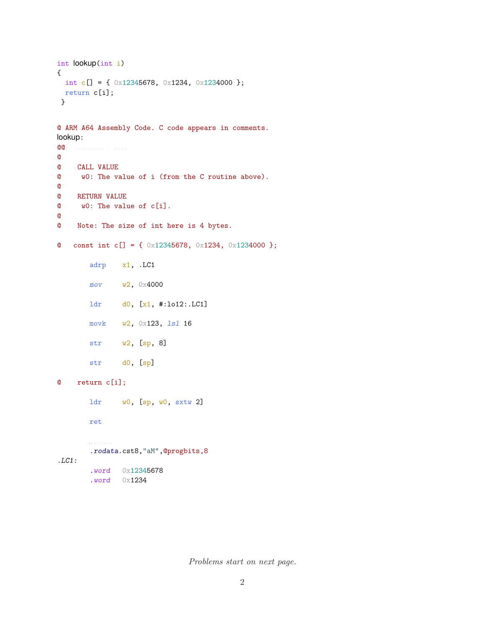```
int lookup(int i)
{
 int c[] = { 0x12345678, 0x1234, 0x1234000 };
 return c[i];
}
@ ARM A64 Assembly Code. C code appears in comments.
lookup:
@@ R e g i s t e r U s a g e
@
@ CALL VALUE
@ w0: The value of i (from the C routine above).
@
@ RETURN VALUE
@ w0: The value of c[i].
@
@ Note: The size of int here is 4 bytes.
@ const int c[] = { 0x12345678, 0x1234, 0x1234000 };
       adrp x1, .LC1
       mov w2, 0x4000
       ldr d0, [x1, #:lo12:.LC1]
       movk w2, 0x123, lsl 16
       str w2, [sp, 8]
       str d0, [sp]
@ return c[i];
       ldr w0, [sp, w0, sxtw 2]
       ret
       . s e 
 t i o n
       .rodata.cst8,"aM",@progbits,8
.LC1:
       .word 0x12345678
       .word 0x1234
```
Problems start on next page.